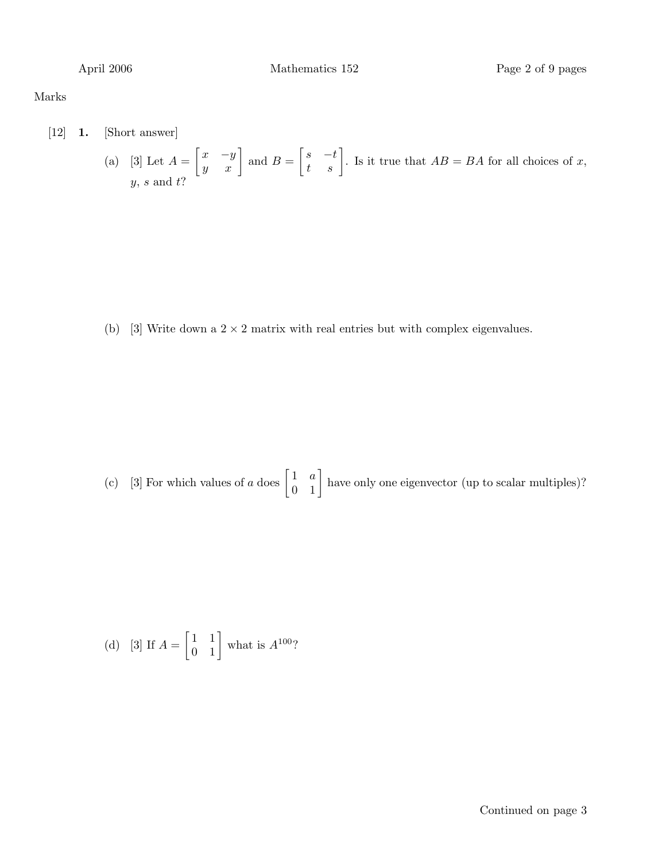### Marks

[12] 1. [Short answer]

(a) [3] Let 
$$
A = \begin{bmatrix} x & -y \ y & x \end{bmatrix}
$$
 and  $B = \begin{bmatrix} s & -t \ t & s \end{bmatrix}$ . Is it true that  $AB = BA$  for all choices of x, y, s and t?

(b) [3] Write down a  $2 \times 2$  matrix with real entries but with complex eigenvalues.

(c) [3] For which values of 
$$
a
$$
 does  $\begin{bmatrix} 1 & a \\ 0 & 1 \end{bmatrix}$  have only one eigenvector (up to scalar multiples)?

(d) [3] If 
$$
A = \begin{bmatrix} 1 & 1 \\ 0 & 1 \end{bmatrix}
$$
 what is  $A^{100}$ ?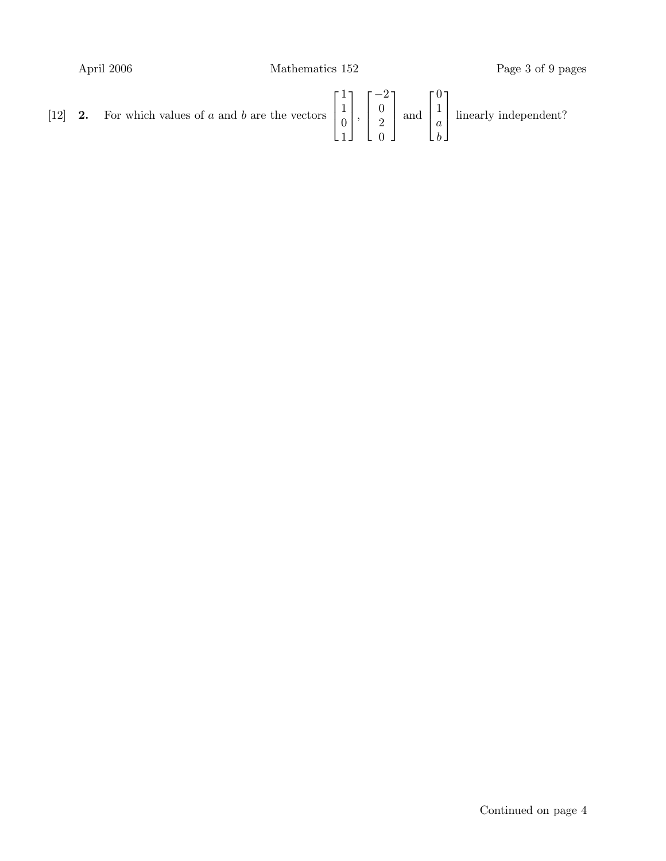April 2006 Mathematics 152 Page 3 of 9 pages

[12] **2.** For which values of a and b are the vectors  $\sqrt{ }$  $\overline{\phantom{a}}$ 1 1  $\theta$ 1 1  $\vert \cdot$  $\sqrt{ }$  $\overline{\phantom{a}}$ −2 0 2 0 1  $\overline{\phantom{a}}$ and  $\sqrt{ }$  $\overline{\phantom{a}}$ 0 1 a b 1 | linearly independent?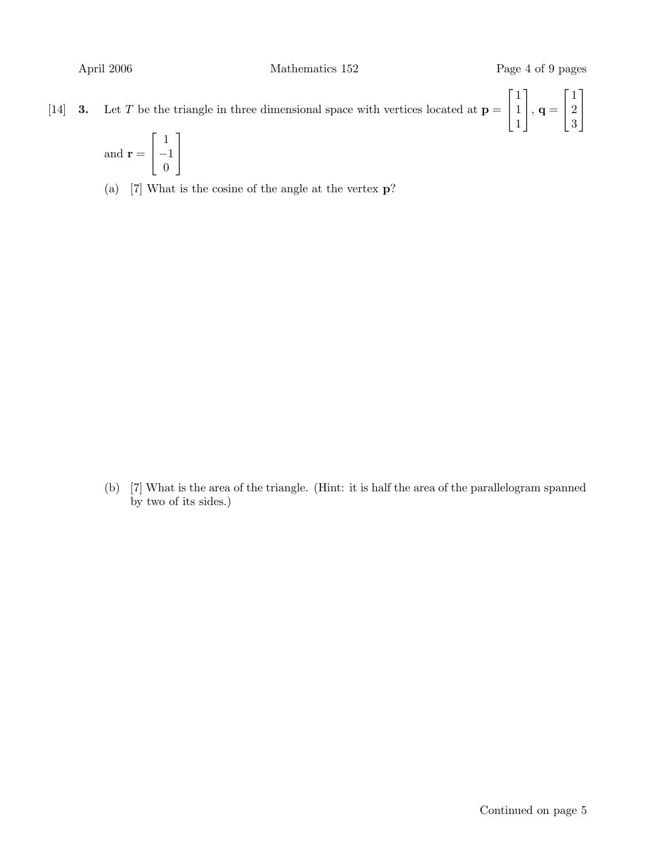[14] **3.** Let T be the triangle in three dimensional space with vertices located at  $p =$  $\lceil$  $\overline{1}$ 1 1 1 1  $\Big\vert$ ,  $\mathbf{q} =$  $\lceil$  $\overline{1}$ 1 2 3 1  $\overline{1}$ 

and 
$$
\mathbf{r} = \begin{bmatrix} 1 \\ -1 \\ 0 \end{bmatrix}
$$

(a) [7] What is the cosine of the angle at the vertex p?

(b) [7] What is the area of the triangle. (Hint: it is half the area of the parallelogram spanned by two of its sides.)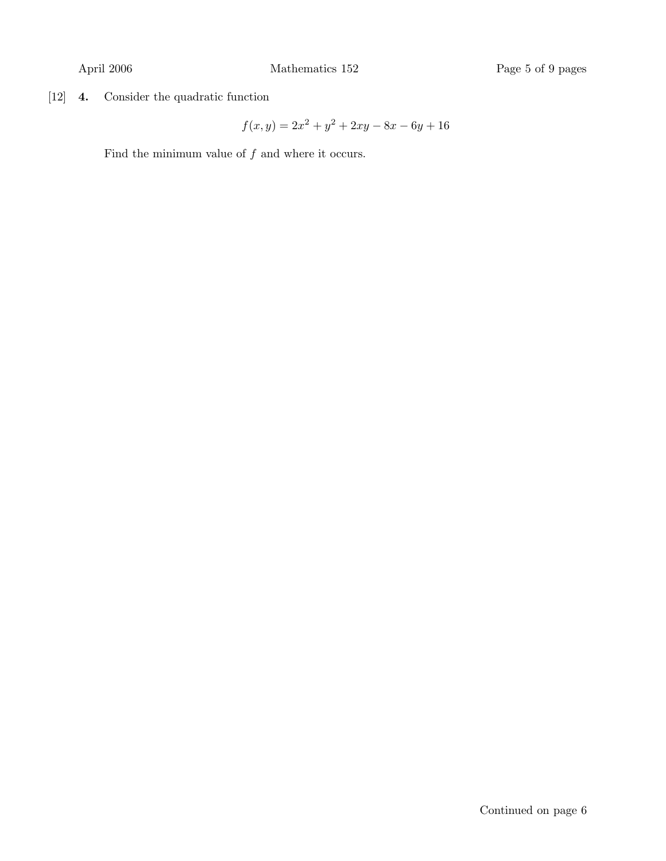[12] 4. Consider the quadratic function

$$
f(x,y) = 2x^2 + y^2 + 2xy - 8x - 6y + 16
$$

Find the minimum value of  $f$  and where it occurs.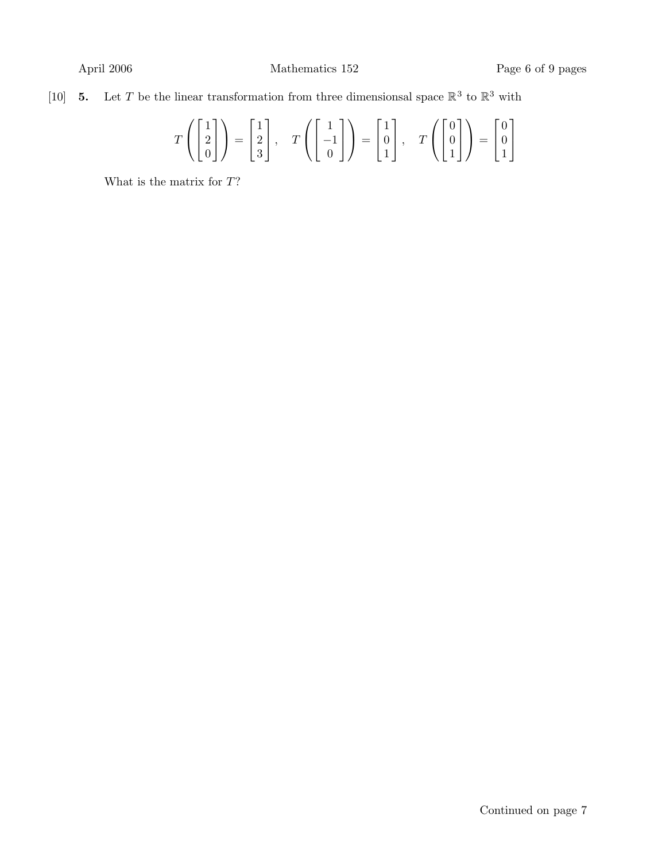## [10] **5.** Let T be the linear transformation from three dimensionsal space  $\mathbb{R}^3$  to  $\mathbb{R}^3$  with

$$
T\left(\begin{bmatrix}1\\2\\0\end{bmatrix}\right) = \begin{bmatrix}1\\2\\3\end{bmatrix}, T\left(\begin{bmatrix}1\\-1\\0\end{bmatrix}\right) = \begin{bmatrix}1\\0\\1\end{bmatrix}, T\left(\begin{bmatrix}0\\0\\1\end{bmatrix}\right) = \begin{bmatrix}0\\0\\1\end{bmatrix}
$$

What is the matrix for  $T$ ?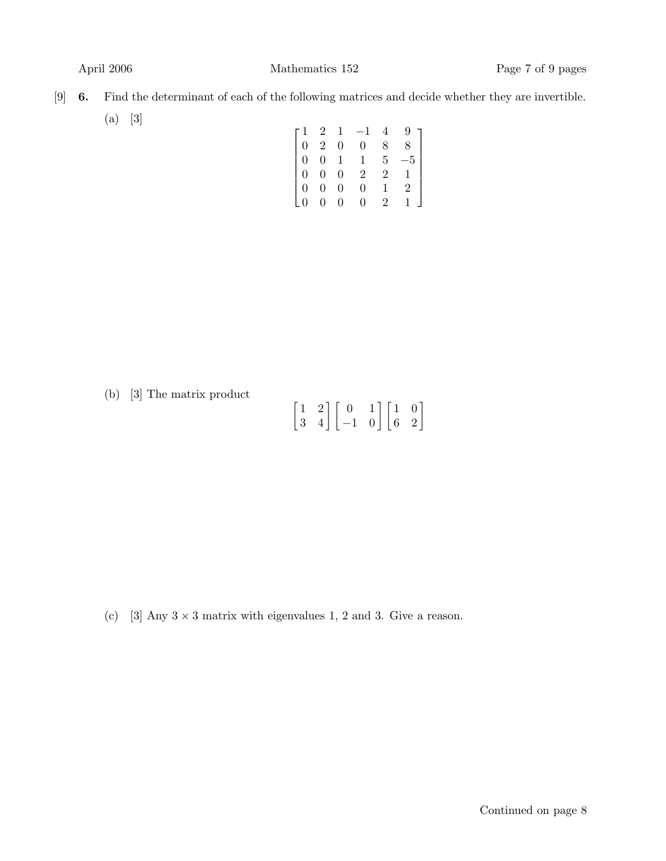- [9] 6. Find the determinant of each of the following matrices and decide whether they are invertible. (a) [3]
	- $\sqrt{ }$  $\begin{array}{c} \begin{array}{c} \begin{array}{c} \begin{array}{c} \end{array} \\ \begin{array}{c} \end{array} \end{array} \end{array} \end{array}$  $\begin{bmatrix} 1 & 2 & 1 & -1 & 4 & 9 \end{bmatrix}$ 0 2 0 0 8 8 0 0 1 1 5 −5 0 0 0 2 2 1 0 0 0 0 1 2 0 0 0 0 2 1 1  $\begin{array}{c} \begin{array}{c} \begin{array}{c} \begin{array}{c} \end{array} \\ \begin{array}{c} \end{array} \end{array} \end{array} \end{array}$

(b) [3] The matrix product

|  | $\begin{bmatrix} 1 & 2 \\ 3 & 4 \end{bmatrix}\begin{bmatrix} 0 & 1 \\ -1 & 0 \end{bmatrix}\begin{bmatrix} 1 & 0 \\ 6 & 2 \end{bmatrix}$ |  |  |
|--|-----------------------------------------------------------------------------------------------------------------------------------------|--|--|

(c) [3] Any  $3 \times 3$  matrix with eigenvalues 1, 2 and 3. Give a reason.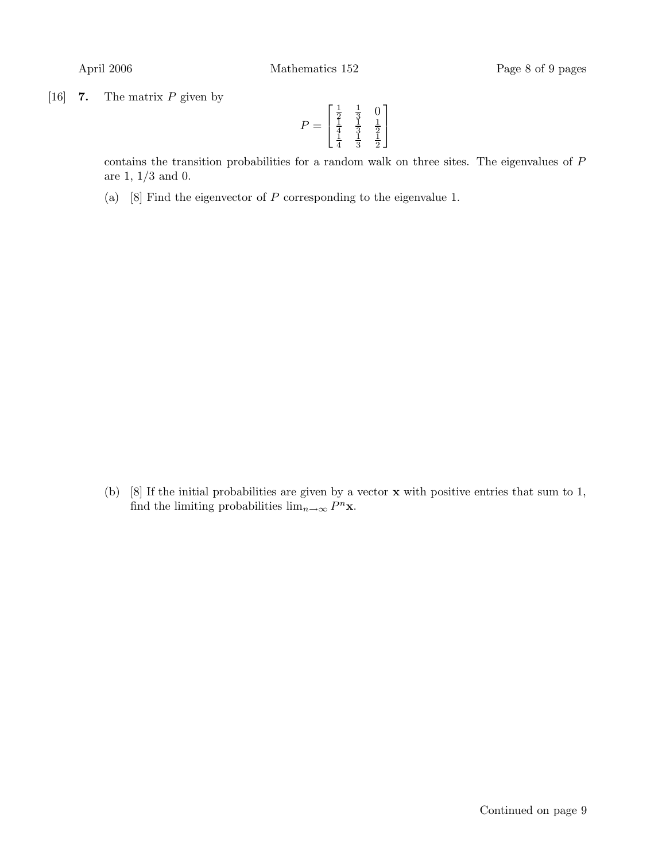[16] **7.** The matrix  $P$  given by

$$
P = \begin{bmatrix} \frac{1}{2} & \frac{1}{3} & 0\\ \frac{1}{4} & \frac{1}{3} & \frac{1}{2}\\ \frac{1}{4} & \frac{1}{3} & \frac{1}{2} \end{bmatrix}
$$

contains the transition probabilities for a random walk on three sites. The eigenvalues of  $P$ are 1, 1/3 and 0.

(a) [8] Find the eigenvector of  $P$  corresponding to the eigenvalue 1.

(b) [8] If the initial probabilities are given by a vector x with positive entries that sum to 1, find the limiting probabilities  $\lim_{n\to\infty} P^n$ **x**.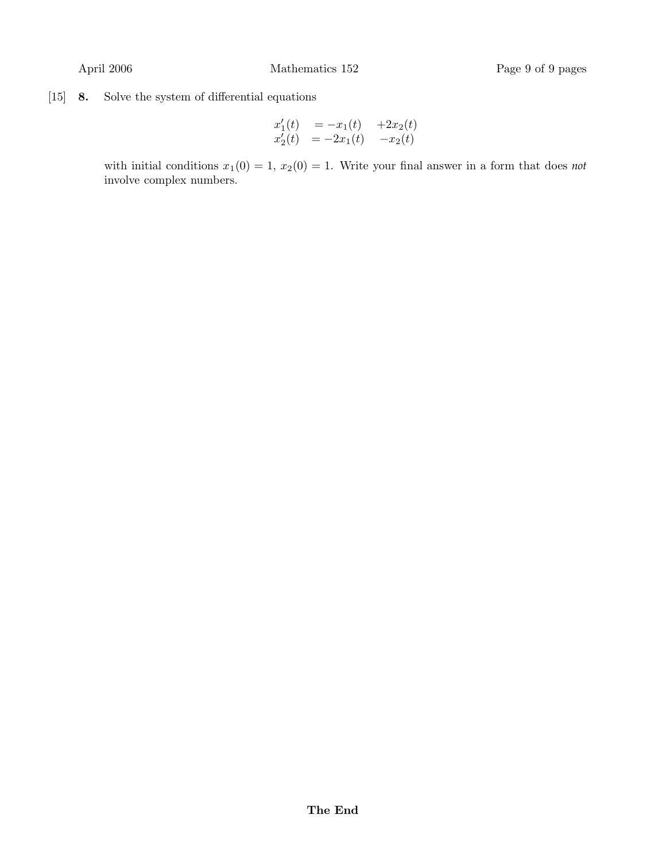# [15] 8. Solve the system of differential equations

$$
\begin{array}{lll}\nx'_1(t) & = -x_1(t) & +2x_2(t) \\
x'_2(t) & = -2x_1(t) & -x_2(t)\n\end{array}
$$

with initial conditions  $x_1(0) = 1$ ,  $x_2(0) = 1$ . Write your final answer in a form that does *not* involve complex numbers.